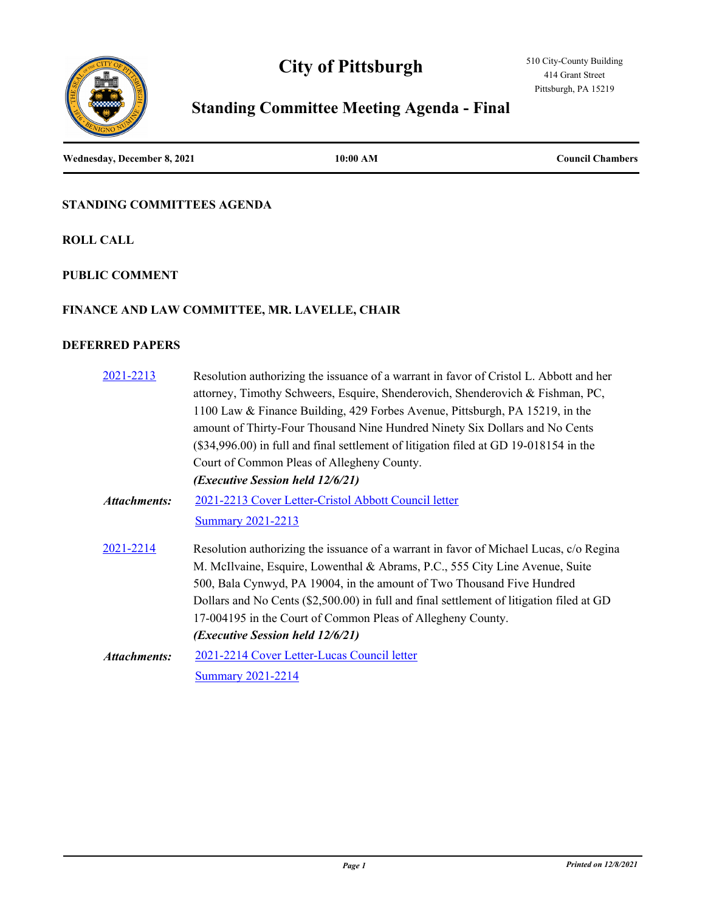# **City of Pittsburgh**



# **Standing Committee Meeting Agenda - Final**

**Wednesday, December 8, 2021 10:00 AM Council Chambers**

#### **STANDING COMMITTEES AGENDA**

**ROLL CALL**

#### **PUBLIC COMMENT**

#### **FINANCE AND LAW COMMITTEE, MR. LAVELLE, CHAIR**

#### **DEFERRED PAPERS**

| 2021-2213           | Resolution authorizing the issuance of a warrant in favor of Cristol L. Abbott and her   |
|---------------------|------------------------------------------------------------------------------------------|
|                     | attorney, Timothy Schweers, Esquire, Shenderovich, Shenderovich & Fishman, PC,           |
|                     | 1100 Law & Finance Building, 429 Forbes Avenue, Pittsburgh, PA 15219, in the             |
|                     | amount of Thirty-Four Thousand Nine Hundred Ninety Six Dollars and No Cents              |
|                     | (\$34,996.00) in full and final settlement of litigation filed at GD 19-018154 in the    |
|                     | Court of Common Pleas of Allegheny County.                                               |
|                     | (Executive Session held 12/6/21)                                                         |
| <b>Attachments:</b> | 2021-2213 Cover Letter-Cristol Abbott Council letter                                     |
|                     | <b>Summary 2021-2213</b>                                                                 |
| 2021-2214           | Resolution authorizing the issuance of a warrant in favor of Michael Lucas, c/o Regina   |
|                     | M. McIlvaine, Esquire, Lowenthal & Abrams, P.C., 555 City Line Avenue, Suite             |
|                     | 500, Bala Cynwyd, PA 19004, in the amount of Two Thousand Five Hundred                   |
|                     | Dollars and No Cents (\$2,500.00) in full and final settlement of litigation filed at GD |
|                     | 17-004195 in the Court of Common Pleas of Allegheny County.                              |
|                     | (Executive Session held 12/6/21)                                                         |
| <b>Attachments:</b> | 2021-2214 Cover Letter-Lucas Council letter                                              |
|                     | <b>Summary 2021-2214</b>                                                                 |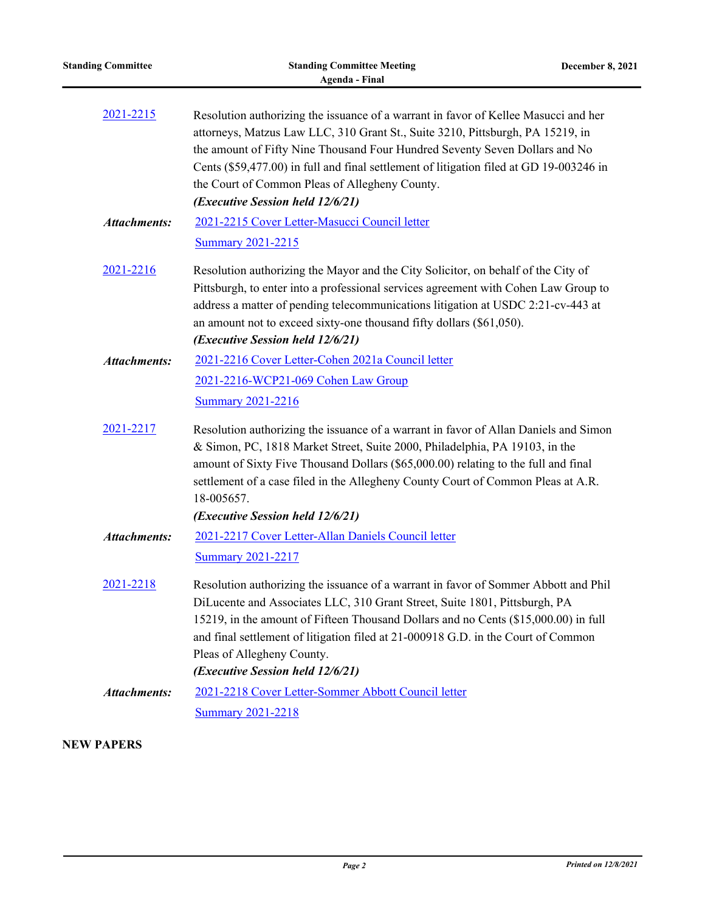| <b>Standing Committee</b> | <b>Standing Committee Meeting</b><br><b>Agenda</b> - Final                                                                                                                                                                                                                                                                                                                                                                            | <b>December 8, 2021</b> |
|---------------------------|---------------------------------------------------------------------------------------------------------------------------------------------------------------------------------------------------------------------------------------------------------------------------------------------------------------------------------------------------------------------------------------------------------------------------------------|-------------------------|
| 2021-2215                 | Resolution authorizing the issuance of a warrant in favor of Kellee Masucci and her<br>attorneys, Matzus Law LLC, 310 Grant St., Suite 3210, Pittsburgh, PA 15219, in<br>the amount of Fifty Nine Thousand Four Hundred Seventy Seven Dollars and No<br>Cents (\$59,477.00) in full and final settlement of litigation filed at GD 19-003246 in<br>the Court of Common Pleas of Allegheny County.<br>(Executive Session held 12/6/21) |                         |
| <b>Attachments:</b>       | 2021-2215 Cover Letter-Masucci Council letter<br><b>Summary 2021-2215</b>                                                                                                                                                                                                                                                                                                                                                             |                         |
| 2021-2216                 | Resolution authorizing the Mayor and the City Solicitor, on behalf of the City of<br>Pittsburgh, to enter into a professional services agreement with Cohen Law Group to<br>address a matter of pending telecommunications litigation at USDC 2:21-cv-443 at<br>an amount not to exceed sixty-one thousand fifty dollars (\$61,050).<br>(Executive Session held 12/6/21)                                                              |                         |
| <b>Attachments:</b>       | 2021-2216 Cover Letter-Cohen 2021a Council letter<br>2021-2216-WCP21-069 Cohen Law Group<br><b>Summary 2021-2216</b>                                                                                                                                                                                                                                                                                                                  |                         |
| 2021-2217                 | Resolution authorizing the issuance of a warrant in favor of Allan Daniels and Simon<br>& Simon, PC, 1818 Market Street, Suite 2000, Philadelphia, PA 19103, in the<br>amount of Sixty Five Thousand Dollars (\$65,000.00) relating to the full and final<br>settlement of a case filed in the Allegheny County Court of Common Pleas at A.R.<br>18-005657.<br>(Executive Session held 12/6/21)                                       |                         |
| <b>Attachments:</b>       | 2021-2217 Cover Letter-Allan Daniels Council letter<br><b>Summary 2021-2217</b>                                                                                                                                                                                                                                                                                                                                                       |                         |
| 2021-2218                 | Resolution authorizing the issuance of a warrant in favor of Sommer Abbott and Phil<br>DiLucente and Associates LLC, 310 Grant Street, Suite 1801, Pittsburgh, PA<br>15219, in the amount of Fifteen Thousand Dollars and no Cents (\$15,000.00) in full<br>and final settlement of litigation filed at 21-000918 G.D. in the Court of Common<br>Pleas of Allegheny County.<br>(Executive Session held 12/6/21)                       |                         |
| <b>Attachments:</b>       | 2021-2218 Cover Letter-Sommer Abbott Council letter<br><b>Summary 2021-2218</b>                                                                                                                                                                                                                                                                                                                                                       |                         |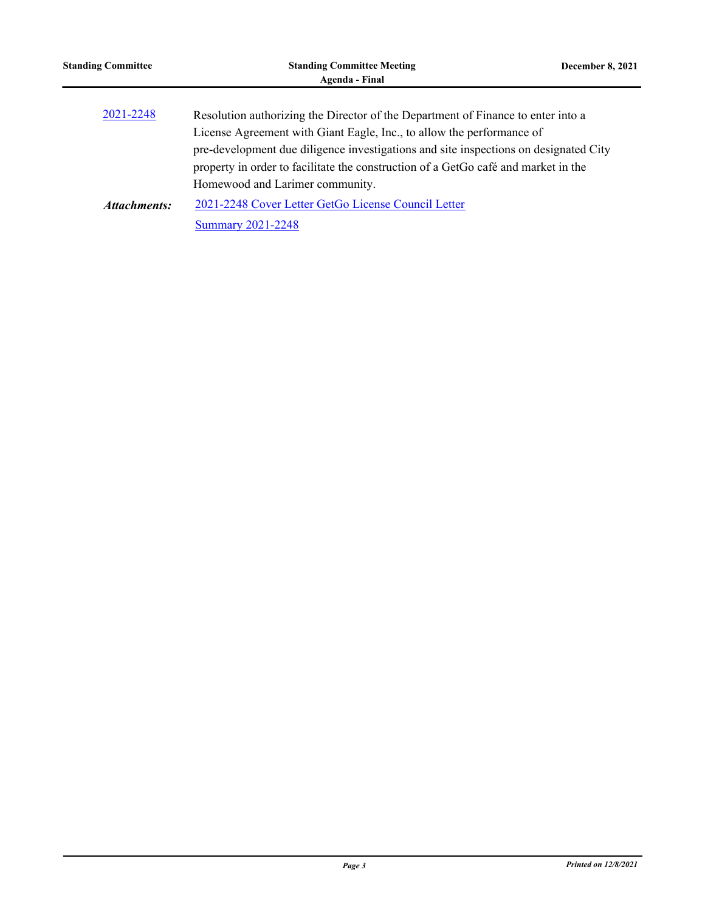| <b>Standing Committee</b> | <b>Standing Committee Meeting</b><br>Agenda - Final                                                                                                                                                                                                                                                                                                                        | December 8, 2021 |
|---------------------------|----------------------------------------------------------------------------------------------------------------------------------------------------------------------------------------------------------------------------------------------------------------------------------------------------------------------------------------------------------------------------|------------------|
| 2021-2248                 | Resolution authorizing the Director of the Department of Finance to enter into a<br>License Agreement with Giant Eagle, Inc., to allow the performance of<br>pre-development due diligence investigations and site inspections on designated City<br>property in order to facilitate the construction of a GetGo café and market in the<br>Homewood and Larimer community. |                  |
| <b>Attachments:</b>       | 2021-2248 Cover Letter GetGo License Council Letter                                                                                                                                                                                                                                                                                                                        |                  |
|                           | <b>Summary 2021-2248</b>                                                                                                                                                                                                                                                                                                                                                   |                  |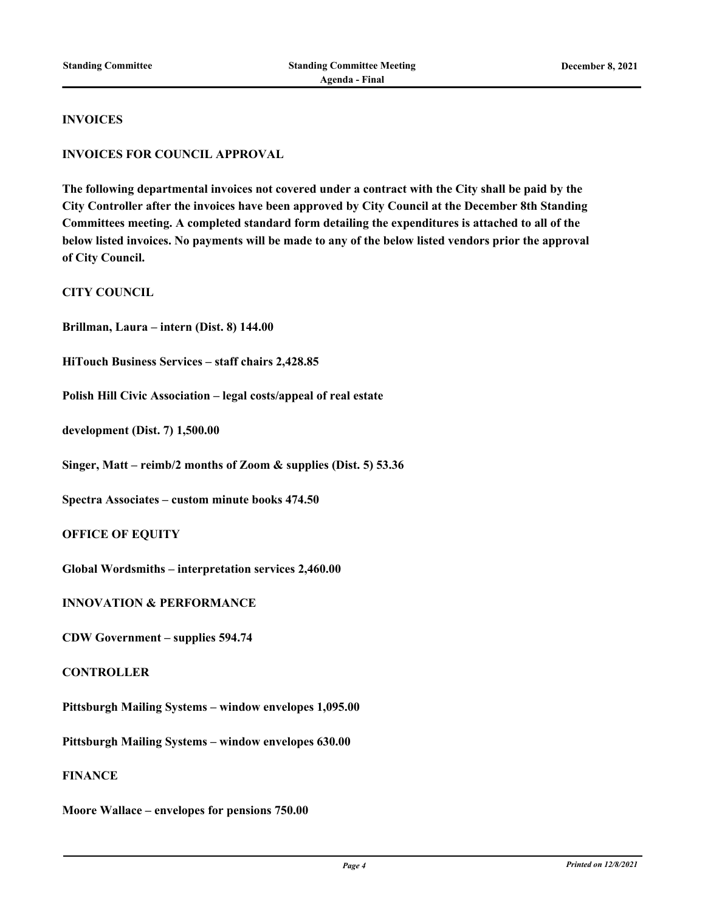#### **INVOICES**

#### **INVOICES FOR COUNCIL APPROVAL**

**The following departmental invoices not covered under a contract with the City shall be paid by the City Controller after the invoices have been approved by City Council at the December 8th Standing Committees meeting. A completed standard form detailing the expenditures is attached to all of the below listed invoices. No payments will be made to any of the below listed vendors prior the approval of City Council.**

**CITY COUNCIL**

**Brillman, Laura – intern (Dist. 8) 144.00**

**HiTouch Business Services – staff chairs 2,428.85**

**Polish Hill Civic Association – legal costs/appeal of real estate**

**development (Dist. 7) 1,500.00**

**Singer, Matt – reimb/2 months of Zoom & supplies (Dist. 5) 53.36**

**Spectra Associates – custom minute books 474.50**

**OFFICE OF EQUITY**

**Global Wordsmiths – interpretation services 2,460.00**

**INNOVATION & PERFORMANCE**

**CDW Government – supplies 594.74**

**CONTROLLER**

**Pittsburgh Mailing Systems – window envelopes 1,095.00**

**Pittsburgh Mailing Systems – window envelopes 630.00**

**FINANCE**

**Moore Wallace – envelopes for pensions 750.00**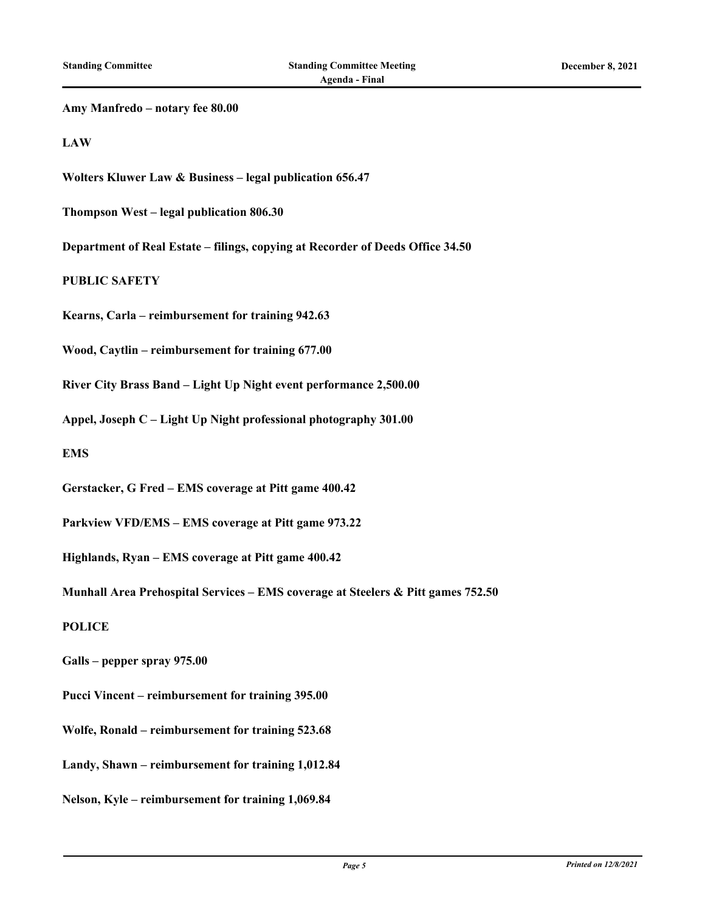| Amy Manfredo - notary fee 80.00                                                  |
|----------------------------------------------------------------------------------|
| <b>LAW</b>                                                                       |
| Wolters Kluwer Law & Business - legal publication 656.47                         |
| Thompson West - legal publication 806.30                                         |
| Department of Real Estate – filings, copying at Recorder of Deeds Office 34.50   |
| <b>PUBLIC SAFETY</b>                                                             |
| Kearns, Carla – reimbursement for training 942.63                                |
| Wood, Caytlin – reimbursement for training 677.00                                |
| River City Brass Band - Light Up Night event performance 2,500.00                |
| Appel, Joseph C - Light Up Night professional photography 301.00                 |
| <b>EMS</b>                                                                       |
| Gerstacker, G Fred - EMS coverage at Pitt game 400.42                            |
| Parkview VFD/EMS - EMS coverage at Pitt game 973.22                              |
| Highlands, Ryan - EMS coverage at Pitt game 400.42                               |
| Munhall Area Prehospital Services - EMS coverage at Steelers & Pitt games 752.50 |
| <b>POLICE</b>                                                                    |
| Galls – pepper spray 975.00                                                      |
| Pucci Vincent – reimbursement for training 395.00                                |
| Wolfe, Ronald – reimbursement for training 523.68                                |
| Landy, Shawn - reimbursement for training 1,012.84                               |
| Nelson, Kyle – reimbursement for training 1,069.84                               |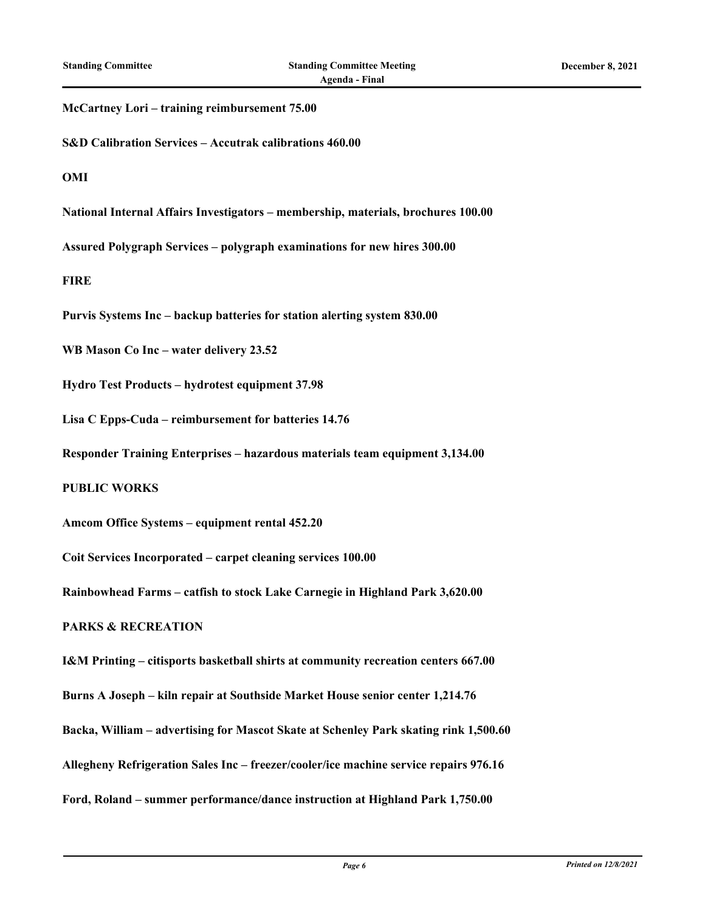#### **McCartney Lori – training reimbursement 75.00**

**S&D Calibration Services – Accutrak calibrations 460.00**

**OMI**

**National Internal Affairs Investigators – membership, materials, brochures 100.00**

**Assured Polygraph Services – polygraph examinations for new hires 300.00**

**FIRE**

**Purvis Systems Inc – backup batteries for station alerting system 830.00**

**WB Mason Co Inc – water delivery 23.52**

**Hydro Test Products – hydrotest equipment 37.98**

**Lisa C Epps-Cuda – reimbursement for batteries 14.76**

**Responder Training Enterprises – hazardous materials team equipment 3,134.00**

#### **PUBLIC WORKS**

**Amcom Office Systems – equipment rental 452.20**

**Coit Services Incorporated – carpet cleaning services 100.00**

**Rainbowhead Farms – catfish to stock Lake Carnegie in Highland Park 3,620.00**

#### **PARKS & RECREATION**

**I&M Printing – citisports basketball shirts at community recreation centers 667.00 Burns A Joseph – kiln repair at Southside Market House senior center 1,214.76**

**Backa, William – advertising for Mascot Skate at Schenley Park skating rink 1,500.60**

**Allegheny Refrigeration Sales Inc – freezer/cooler/ice machine service repairs 976.16**

**Ford, Roland – summer performance/dance instruction at Highland Park 1,750.00**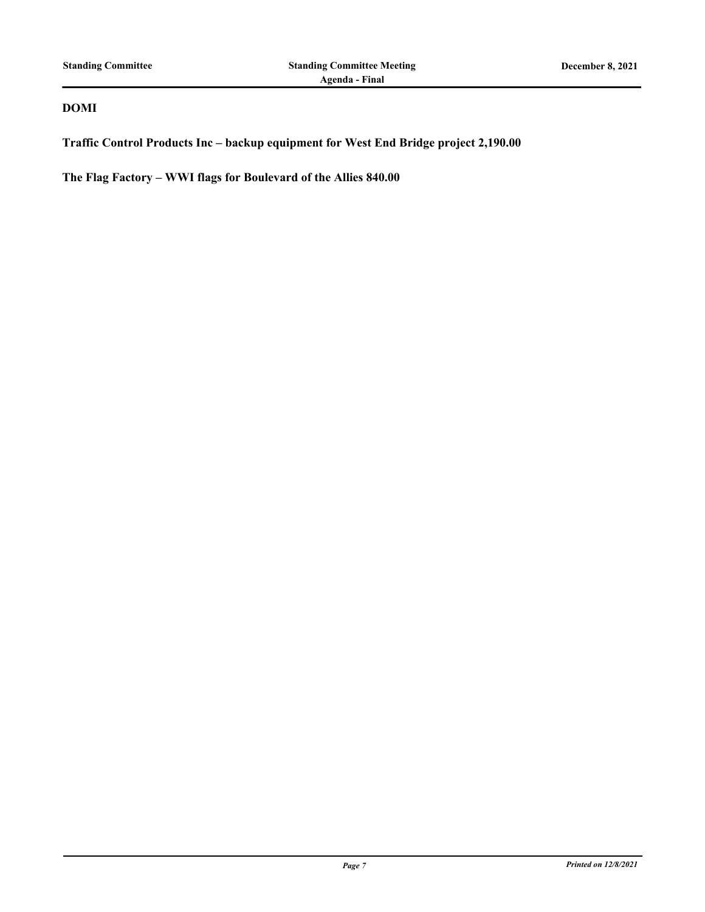#### **DOMI**

**Traffic Control Products Inc – backup equipment for West End Bridge project 2,190.00**

**The Flag Factory – WWI flags for Boulevard of the Allies 840.00**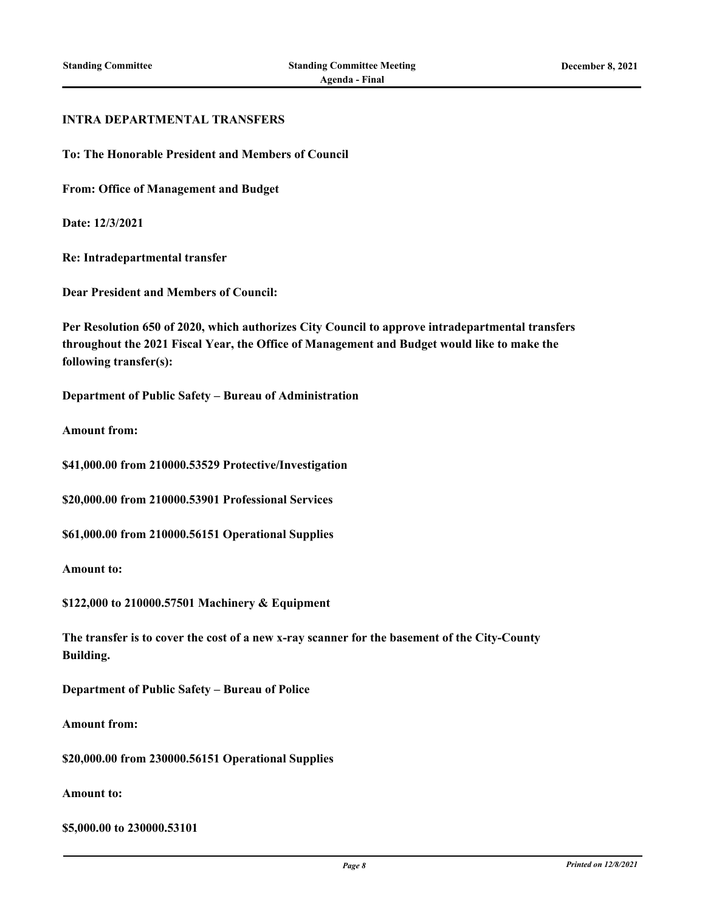#### **INTRA DEPARTMENTAL TRANSFERS**

**To: The Honorable President and Members of Council**

**From: Office of Management and Budget**

**Date: 12/3/2021**

**Re: Intradepartmental transfer**

**Dear President and Members of Council:**

**Per Resolution 650 of 2020, which authorizes City Council to approve intradepartmental transfers throughout the 2021 Fiscal Year, the Office of Management and Budget would like to make the following transfer(s):**

**Department of Public Safety – Bureau of Administration**

**Amount from:**

**\$41,000.00 from 210000.53529 Protective/Investigation**

**\$20,000.00 from 210000.53901 Professional Services**

**\$61,000.00 from 210000.56151 Operational Supplies**

**Amount to:**

**\$122,000 to 210000.57501 Machinery & Equipment**

**The transfer is to cover the cost of a new x-ray scanner for the basement of the City-County Building.**

**Department of Public Safety – Bureau of Police**

**Amount from:**

**\$20,000.00 from 230000.56151 Operational Supplies**

**Amount to:**

**\$5,000.00 to 230000.53101**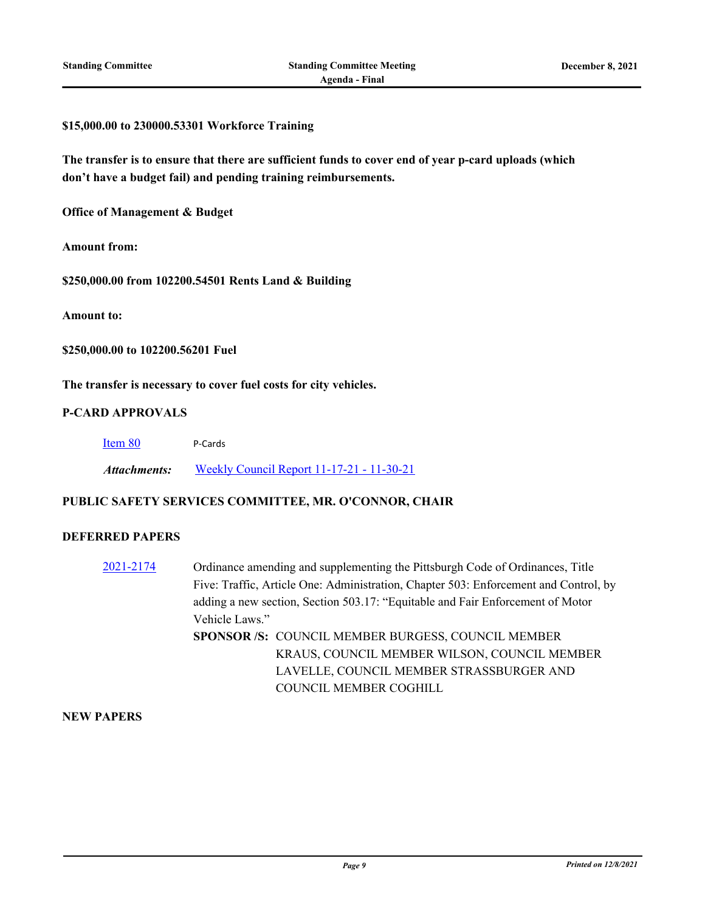#### **\$15,000.00 to 230000.53301 Workforce Training**

**The transfer is to ensure that there are sufficient funds to cover end of year p-card uploads (which don't have a budget fail) and pending training reimbursements.**

**Office of Management & Budget**

**Amount from:**

**\$250,000.00 from 102200.54501 Rents Land & Building**

**Amount to:**

**\$250,000.00 to 102200.56201 Fuel**

**The transfer is necessary to cover fuel costs for city vehicles.**

#### **P-CARD APPROVALS**

| Item 80 | P-Cards |
|---------|---------|
|         |         |

*Attachments:* [Weekly Council Report 11-17-21 - 11-30-21](http://pittsburgh.legistar.com/gateway.aspx?M=F&ID=9f296800-b3a3-4b0c-87c9-cbbd84d32d25.xlsx)

#### **PUBLIC SAFETY SERVICES COMMITTEE, MR. O'CONNOR, CHAIR**

#### **DEFERRED PAPERS**

[2021-2174](http://pittsburgh.legistar.com/gateway.aspx?m=l&id=/matter.aspx?key=27067) Ordinance amending and supplementing the Pittsburgh Code of Ordinances, Title Five: Traffic, Article One: Administration, Chapter 503: Enforcement and Control, by adding a new section, Section 503.17: "Equitable and Fair Enforcement of Motor Vehicle Laws." **SPONSOR /S:** COUNCIL MEMBER BURGESS, COUNCIL MEMBER KRAUS, COUNCIL MEMBER WILSON, COUNCIL MEMBER LAVELLE, COUNCIL MEMBER STRASSBURGER AND COUNCIL MEMBER COGHILL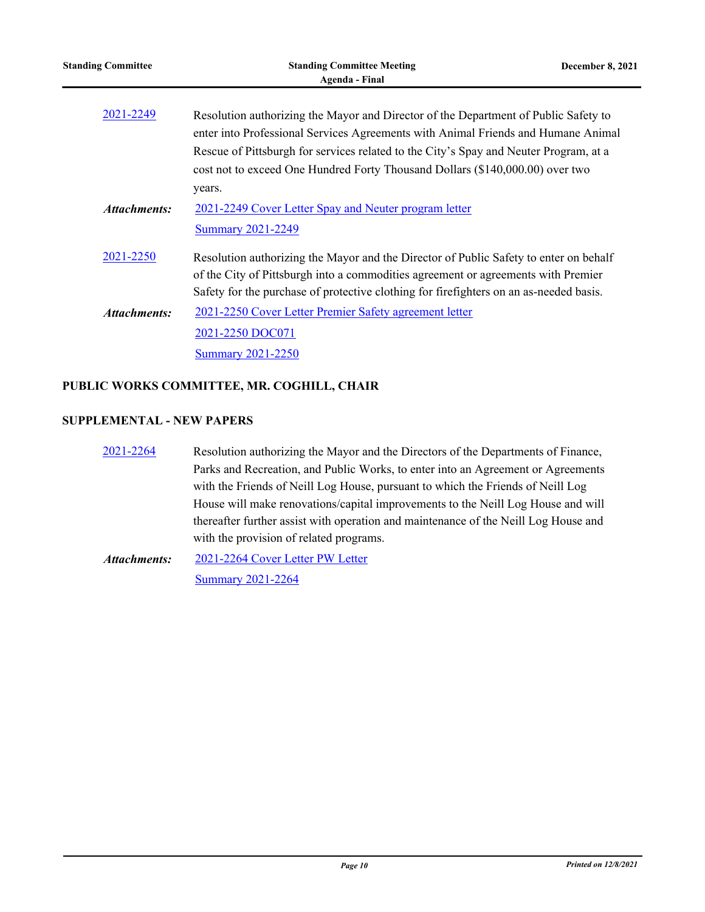| <b>Standing Committee</b> | <b>Standing Committee Meeting</b><br><b>Agenda - Final</b>                                                                                                                                                                                                                                                                                         | December 8, 2021 |
|---------------------------|----------------------------------------------------------------------------------------------------------------------------------------------------------------------------------------------------------------------------------------------------------------------------------------------------------------------------------------------------|------------------|
| 2021-2249                 | Resolution authorizing the Mayor and Director of the Department of Public Safety to<br>enter into Professional Services Agreements with Animal Friends and Humane Animal<br>Rescue of Pittsburgh for services related to the City's Spay and Neuter Program, at a<br>cost not to exceed One Hundred Forty Thousand Dollars (\$140,000.00) over two |                  |
| Attachments:              | years.<br>2021-2249 Cover Letter Spay and Neuter program letter                                                                                                                                                                                                                                                                                    |                  |
|                           | <b>Summary 2021-2249</b>                                                                                                                                                                                                                                                                                                                           |                  |
| 2021-2250                 | Resolution authorizing the Mayor and the Director of Public Safety to enter on behalf<br>of the City of Pittsburgh into a commodities agreement or agreements with Premier<br>Safety for the purchase of protective clothing for firefighters on an as-needed basis.                                                                               |                  |
| Attachments:              | 2021-2250 Cover Letter Premier Safety agreement letter<br>2021-2250 DOC071<br><b>Summary 2021-2250</b>                                                                                                                                                                                                                                             |                  |
|                           |                                                                                                                                                                                                                                                                                                                                                    |                  |

### **PUBLIC WORKS COMMITTEE, MR. COGHILL, CHAIR**

#### **SUPPLEMENTAL - NEW PAPERS**

[2021-2264](http://pittsburgh.legistar.com/gateway.aspx?m=l&id=/matter.aspx?key=27166) Resolution authorizing the Mayor and the Directors of the Departments of Finance, Parks and Recreation, and Public Works, to enter into an Agreement or Agreements with the Friends of Neill Log House, pursuant to which the Friends of Neill Log House will make renovations/capital improvements to the Neill Log House and will thereafter further assist with operation and maintenance of the Neill Log House and with the provision of related programs.

[2021-2264 Cover Letter PW Letter](http://pittsburgh.legistar.com/gateway.aspx?M=F&ID=e5a16621-031a-4be5-9cdd-8798cc579a18.PDF) [Summary 2021-2264](http://pittsburgh.legistar.com/gateway.aspx?M=F&ID=63d6d4b1-119c-43bb-8ced-efaffe763def.docx) *Attachments:*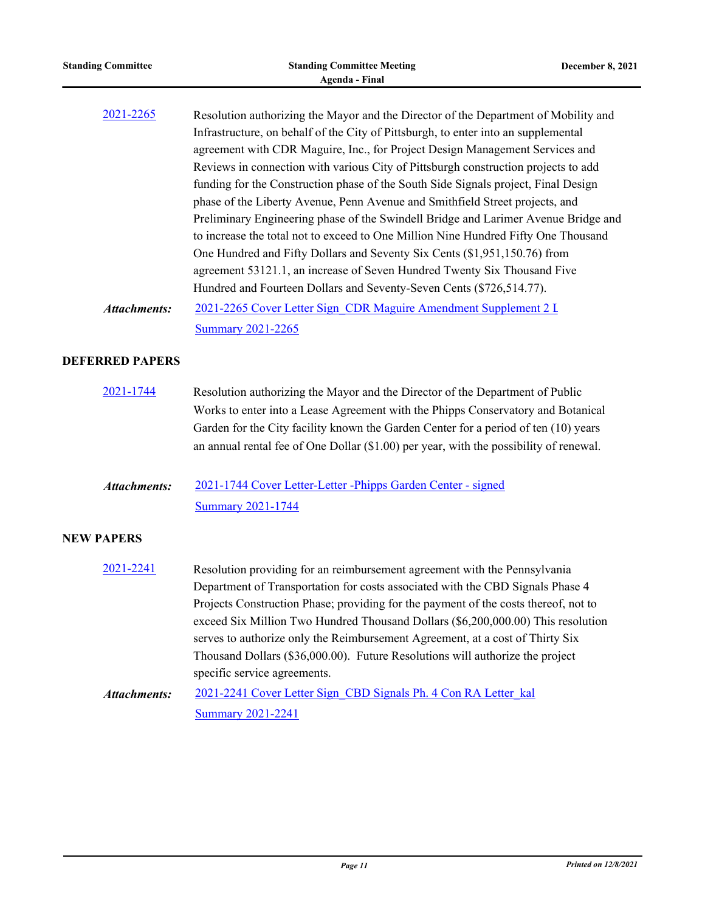| <b>Standing Committee</b> | <b>Standing Committee Meeting</b><br><b>Agenda - Final</b>                                                                                                                                                                                                                                                                                                                                                                                                                                                                                                                                                                                                                                                                                                                                                                                                                                                                         | <b>December 8, 2021</b> |
|---------------------------|------------------------------------------------------------------------------------------------------------------------------------------------------------------------------------------------------------------------------------------------------------------------------------------------------------------------------------------------------------------------------------------------------------------------------------------------------------------------------------------------------------------------------------------------------------------------------------------------------------------------------------------------------------------------------------------------------------------------------------------------------------------------------------------------------------------------------------------------------------------------------------------------------------------------------------|-------------------------|
| 2021-2265                 | Resolution authorizing the Mayor and the Director of the Department of Mobility and<br>Infrastructure, on behalf of the City of Pittsburgh, to enter into an supplemental<br>agreement with CDR Maguire, Inc., for Project Design Management Services and<br>Reviews in connection with various City of Pittsburgh construction projects to add<br>funding for the Construction phase of the South Side Signals project, Final Design<br>phase of the Liberty Avenue, Penn Avenue and Smithfield Street projects, and<br>Preliminary Engineering phase of the Swindell Bridge and Larimer Avenue Bridge and<br>to increase the total not to exceed to One Million Nine Hundred Fifty One Thousand<br>One Hundred and Fifty Dollars and Seventy Six Cents (\$1,951,150.76) from<br>agreement 53121.1, an increase of Seven Hundred Twenty Six Thousand Five<br>Hundred and Fourteen Dollars and Seventy-Seven Cents (\$726,514.77). |                         |
| <b>Attachments:</b>       | 2021-2265 Cover Letter Sign CDR Maguire Amendment Supplement 2 L<br><b>Summary 2021-2265</b>                                                                                                                                                                                                                                                                                                                                                                                                                                                                                                                                                                                                                                                                                                                                                                                                                                       |                         |
| <b>DEFERRED PAPERS</b>    |                                                                                                                                                                                                                                                                                                                                                                                                                                                                                                                                                                                                                                                                                                                                                                                                                                                                                                                                    |                         |
| 2021-1744                 | Resolution authorizing the Mayor and the Director of the Department of Public<br>Works to enter into a Lease Agreement with the Phipps Conservatory and Botanical<br>Garden for the City facility known the Garden Center for a period of ten (10) years<br>an annual rental fee of One Dollar (\$1.00) per year, with the possibility of renewal.                                                                                                                                                                                                                                                                                                                                                                                                                                                                                                                                                                                 |                         |
| <b>Attachments:</b>       | 2021-1744 Cover Letter-Letter - Phipps Garden Center - signed<br><b>Summary 2021-1744</b>                                                                                                                                                                                                                                                                                                                                                                                                                                                                                                                                                                                                                                                                                                                                                                                                                                          |                         |
| <b>NEW PAPERS</b>         |                                                                                                                                                                                                                                                                                                                                                                                                                                                                                                                                                                                                                                                                                                                                                                                                                                                                                                                                    |                         |
| 2021-2241                 | Resolution providing for an reimbursement agreement with the Pennsylvania<br>Department of Transportation for costs associated with the CBD Signals Phase 4<br>Projects Construction Phase; providing for the payment of the costs thereof, not to<br>exceed Six Million Two Hundred Thousand Dollars (\$6,200,000.00) This resolution<br>serves to authorize only the Reimbursement Agreement, at a cost of Thirty Six<br>Thousand Dollars (\$36,000.00). Future Resolutions will authorize the project<br>specific service agreements.                                                                                                                                                                                                                                                                                                                                                                                           |                         |
| <b>Attachments:</b>       | 2021-2241 Cover Letter Sign CBD Signals Ph. 4 Con RA Letter kal<br><b>Summary 2021-2241</b>                                                                                                                                                                                                                                                                                                                                                                                                                                                                                                                                                                                                                                                                                                                                                                                                                                        |                         |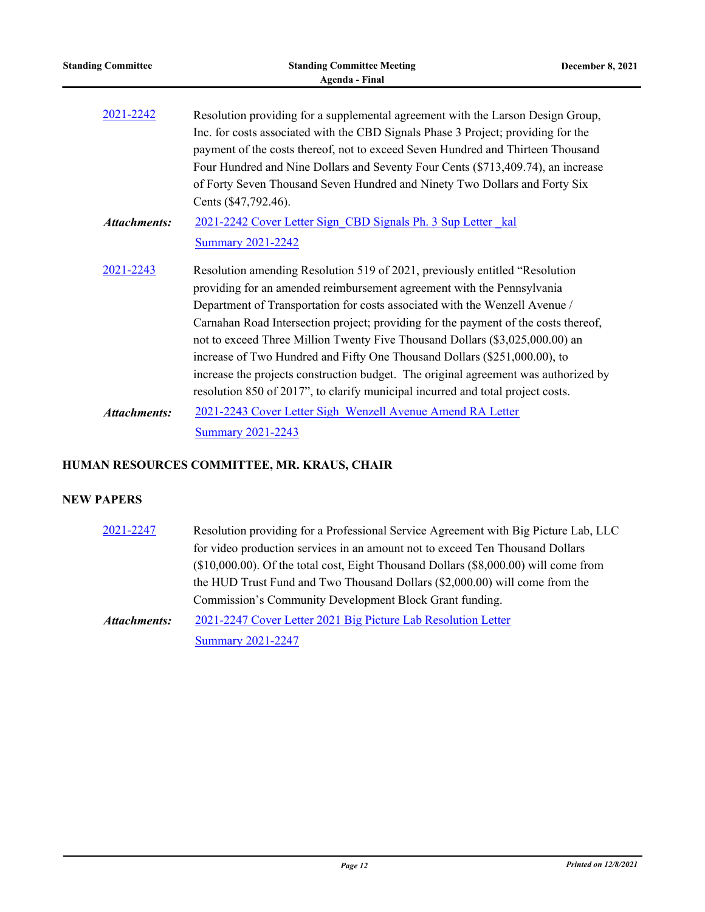| <b>Standing Committee</b> | <b>Standing Committee Meeting</b><br><b>Agenda</b> - Final                                                                                                                                                                                                                                                                                                                                                                                                                                                                                                                                                                                                         | <b>December 8, 2021</b> |
|---------------------------|--------------------------------------------------------------------------------------------------------------------------------------------------------------------------------------------------------------------------------------------------------------------------------------------------------------------------------------------------------------------------------------------------------------------------------------------------------------------------------------------------------------------------------------------------------------------------------------------------------------------------------------------------------------------|-------------------------|
| 2021-2242                 | Resolution providing for a supplemental agreement with the Larson Design Group,<br>Inc. for costs associated with the CBD Signals Phase 3 Project; providing for the<br>payment of the costs thereof, not to exceed Seven Hundred and Thirteen Thousand<br>Four Hundred and Nine Dollars and Seventy Four Cents (\$713,409.74), an increase<br>of Forty Seven Thousand Seven Hundred and Ninety Two Dollars and Forty Six<br>Cents (\$47,792.46).                                                                                                                                                                                                                  |                         |
| <b>Attachments:</b>       | 2021-2242 Cover Letter Sign CBD Signals Ph. 3 Sup Letter kal<br><b>Summary 2021-2242</b>                                                                                                                                                                                                                                                                                                                                                                                                                                                                                                                                                                           |                         |
| 2021-2243                 | Resolution amending Resolution 519 of 2021, previously entitled "Resolution<br>providing for an amended reimbursement agreement with the Pennsylvania<br>Department of Transportation for costs associated with the Wenzell Avenue /<br>Carnahan Road Intersection project; providing for the payment of the costs thereof,<br>not to exceed Three Million Twenty Five Thousand Dollars (\$3,025,000.00) an<br>increase of Two Hundred and Fifty One Thousand Dollars (\$251,000.00), to<br>increase the projects construction budget. The original agreement was authorized by<br>resolution 850 of 2017", to clarify municipal incurred and total project costs. |                         |
| <b>Attachments:</b>       | 2021-2243 Cover Letter Sigh Wenzell Avenue Amend RA Letter<br><b>Summary 2021-2243</b>                                                                                                                                                                                                                                                                                                                                                                                                                                                                                                                                                                             |                         |

#### **HUMAN RESOURCES COMMITTEE, MR. KRAUS, CHAIR**

#### **NEW PAPERS**

[2021-2247](http://pittsburgh.legistar.com/gateway.aspx?m=l&id=/matter.aspx?key=27149) Resolution providing for a Professional Service Agreement with Big Picture Lab, LLC for video production services in an amount not to exceed Ten Thousand Dollars (\$10,000.00). Of the total cost, Eight Thousand Dollars (\$8,000.00) will come from the HUD Trust Fund and Two Thousand Dollars (\$2,000.00) will come from the Commission's Community Development Block Grant funding. [2021-2247 Cover Letter 2021 Big Picture Lab Resolution Letter](http://pittsburgh.legistar.com/gateway.aspx?M=F&ID=e6d3729b-b27b-4659-8bac-00932b9c02b1.doc) [Summary 2021-2247](http://pittsburgh.legistar.com/gateway.aspx?M=F&ID=bac959bc-e605-4d0e-83db-804609b5c70b.docx) *Attachments:*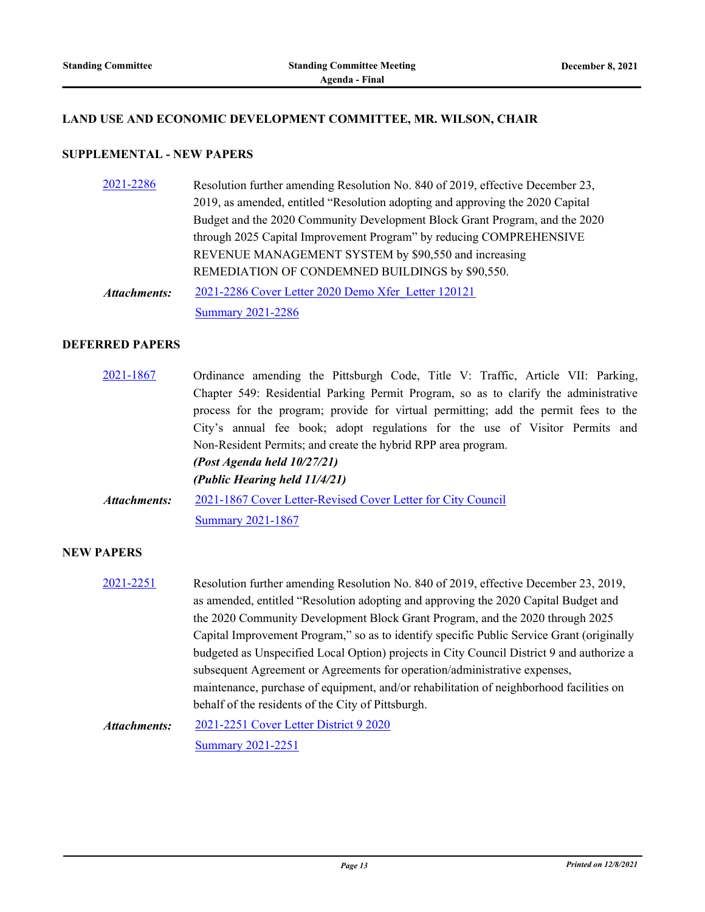#### **LAND USE AND ECONOMIC DEVELOPMENT COMMITTEE, MR. WILSON, CHAIR**

#### **SUPPLEMENTAL - NEW PAPERS**

[2021-2286](http://pittsburgh.legistar.com/gateway.aspx?m=l&id=/matter.aspx?key=27188) Resolution further amending Resolution No. 840 of 2019, effective December 23, 2019, as amended, entitled "Resolution adopting and approving the 2020 Capital Budget and the 2020 Community Development Block Grant Program, and the 2020 through 2025 Capital Improvement Program" by reducing COMPREHENSIVE REVENUE MANAGEMENT SYSTEM by \$90,550 and increasing REMEDIATION OF CONDEMNED BUILDINGS by \$90,550. [2021-2286 Cover Letter 2020 Demo Xfer\\_Letter 120121](http://pittsburgh.legistar.com/gateway.aspx?M=F&ID=83cb3db8-82f9-4a26-ab4c-32affc2f1b5f.docx) *Attachments:*

[Summary 2021-2286](http://pittsburgh.legistar.com/gateway.aspx?M=F&ID=fce435f6-19f1-4712-8511-a11d0cd8c0f2.docx)

#### **DEFERRED PAPERS**

[2021-1867](http://pittsburgh.legistar.com/gateway.aspx?m=l&id=/matter.aspx?key=26737) Ordinance amending the Pittsburgh Code, Title V: Traffic, Article VII: Parking, Chapter 549: Residential Parking Permit Program, so as to clarify the administrative process for the program; provide for virtual permitting; add the permit fees to the City's annual fee book; adopt regulations for the use of Visitor Permits and Non-Resident Permits; and create the hybrid RPP area program. *(Post Agenda held 10/27/21) (Public Hearing held 11/4/21)* [2021-1867 Cover Letter-Revised Cover Letter for City Council](http://pittsburgh.legistar.com/gateway.aspx?M=F&ID=e5ebc061-e02f-4a11-a98f-e21f16e1fb0a.docx) [Summary 2021-1867](http://pittsburgh.legistar.com/gateway.aspx?M=F&ID=6b56a2a2-45b9-4098-affa-ed66cdd9661c.docx) *Attachments:*

#### **NEW PAPERS**

[2021-2251](http://pittsburgh.legistar.com/gateway.aspx?m=l&id=/matter.aspx?key=27153) Resolution further amending Resolution No. 840 of 2019, effective December 23, 2019, as amended, entitled "Resolution adopting and approving the 2020 Capital Budget and the 2020 Community Development Block Grant Program, and the 2020 through 2025 Capital Improvement Program," so as to identify specific Public Service Grant (originally budgeted as Unspecified Local Option) projects in City Council District 9 and authorize a subsequent Agreement or Agreements for operation/administrative expenses, maintenance, purchase of equipment, and/or rehabilitation of neighborhood facilities on behalf of the residents of the City of Pittsburgh.

[2021-2251 Cover Letter District 9 2020](http://pittsburgh.legistar.com/gateway.aspx?M=F&ID=5183da28-b72d-4e70-b63d-59fc593be319.docx) [Summary 2021-2251](http://pittsburgh.legistar.com/gateway.aspx?M=F&ID=562a11f4-3386-4a35-9328-b6b46f533ba2.docx) *Attachments:*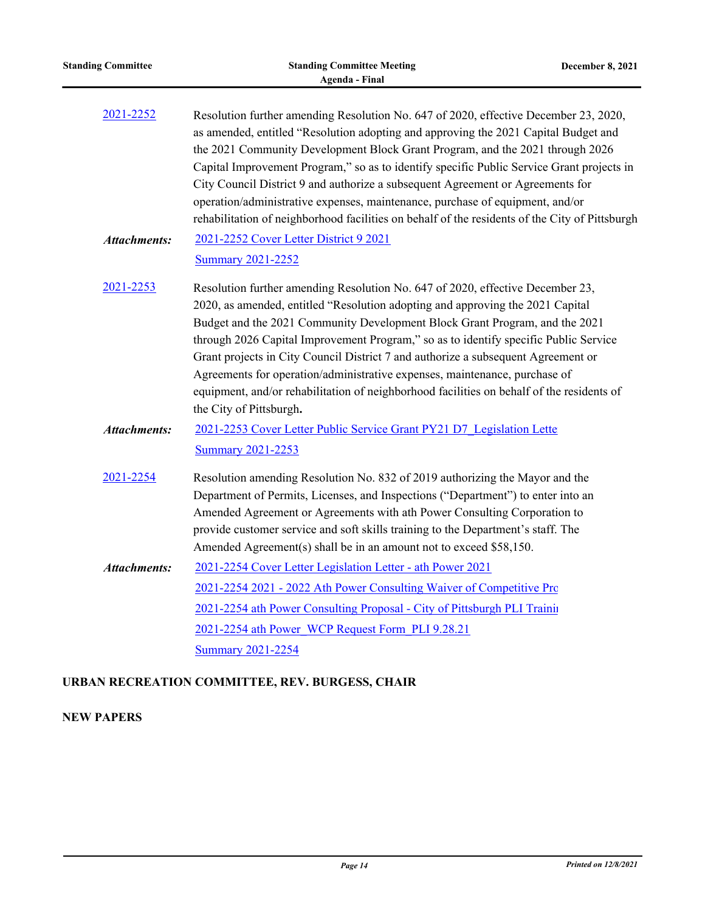| <b>Standing Committee</b> | <b>Standing Committee Meeting</b><br><b>Agenda - Final</b>                                                                                                                                                                                                                                                                                                                                                                                                                                                                                                                                                                         | <b>December 8, 2021</b> |
|---------------------------|------------------------------------------------------------------------------------------------------------------------------------------------------------------------------------------------------------------------------------------------------------------------------------------------------------------------------------------------------------------------------------------------------------------------------------------------------------------------------------------------------------------------------------------------------------------------------------------------------------------------------------|-------------------------|
| 2021-2252                 | Resolution further amending Resolution No. 647 of 2020, effective December 23, 2020,<br>as amended, entitled "Resolution adopting and approving the 2021 Capital Budget and<br>the 2021 Community Development Block Grant Program, and the 2021 through 2026<br>Capital Improvement Program," so as to identify specific Public Service Grant projects in<br>City Council District 9 and authorize a subsequent Agreement or Agreements for<br>operation/administrative expenses, maintenance, purchase of equipment, and/or<br>rehabilitation of neighborhood facilities on behalf of the residents of the City of Pittsburgh     |                         |
| <b>Attachments:</b>       | 2021-2252 Cover Letter District 9 2021<br><b>Summary 2021-2252</b>                                                                                                                                                                                                                                                                                                                                                                                                                                                                                                                                                                 |                         |
| 2021-2253                 | Resolution further amending Resolution No. 647 of 2020, effective December 23,<br>2020, as amended, entitled "Resolution adopting and approving the 2021 Capital<br>Budget and the 2021 Community Development Block Grant Program, and the 2021<br>through 2026 Capital Improvement Program," so as to identify specific Public Service<br>Grant projects in City Council District 7 and authorize a subsequent Agreement or<br>Agreements for operation/administrative expenses, maintenance, purchase of<br>equipment, and/or rehabilitation of neighborhood facilities on behalf of the residents of<br>the City of Pittsburgh. |                         |
| <b>Attachments:</b>       | 2021-2253 Cover Letter Public Service Grant PY21 D7 Legislation Lette<br><b>Summary 2021-2253</b>                                                                                                                                                                                                                                                                                                                                                                                                                                                                                                                                  |                         |
| 2021-2254                 | Resolution amending Resolution No. 832 of 2019 authorizing the Mayor and the<br>Department of Permits, Licenses, and Inspections ("Department") to enter into an<br>Amended Agreement or Agreements with ath Power Consulting Corporation to<br>provide customer service and soft skills training to the Department's staff. The<br>Amended Agreement(s) shall be in an amount not to exceed \$58,150.                                                                                                                                                                                                                             |                         |
| <b>Attachments:</b>       | 2021-2254 Cover Letter Legislation Letter - ath Power 2021                                                                                                                                                                                                                                                                                                                                                                                                                                                                                                                                                                         |                         |
|                           | 2021-2254 2021 - 2022 Ath Power Consulting Waiver of Competitive Pro                                                                                                                                                                                                                                                                                                                                                                                                                                                                                                                                                               |                         |
|                           | 2021-2254 ath Power Consulting Proposal - City of Pittsburgh PLI Training                                                                                                                                                                                                                                                                                                                                                                                                                                                                                                                                                          |                         |
|                           | 2021-2254 ath Power WCP Request Form PLI 9.28.21                                                                                                                                                                                                                                                                                                                                                                                                                                                                                                                                                                                   |                         |
|                           | <b>Summary 2021-2254</b>                                                                                                                                                                                                                                                                                                                                                                                                                                                                                                                                                                                                           |                         |
|                           | URBAN RECREATION COMMITTEE, REV. BURGESS, CHAIR                                                                                                                                                                                                                                                                                                                                                                                                                                                                                                                                                                                    |                         |